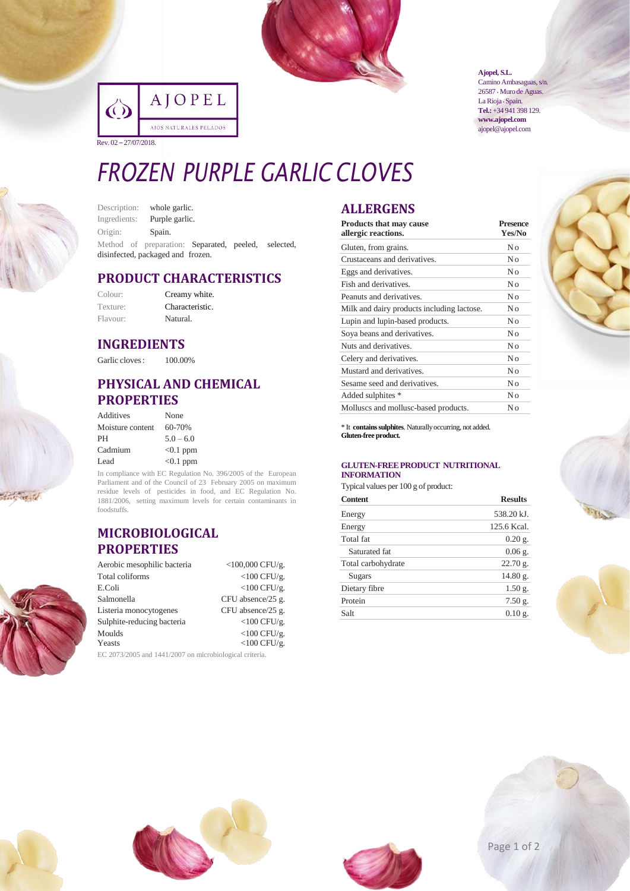

|                       | AJOPEL                 |
|-----------------------|------------------------|
|                       | AJOS NATURALES PELADOS |
| Rev. 02 – 27/07/2018. |                        |

**[Ajopel, S.L.](http://www.ajopel.com/)**

Camino Ambasaguas, s/n. 26587 • Muro de Aguas. La Rioja · Spain. **Tel.:**+34 941 398 129. **[www.ajopel.com](http://www.ajopel.com/)** [ajopel@ajopel.com](mailto:ajopel@ajopel.com)

# *FROZEN PURPLE GARLIC CLOVES*

Description: whole garlic. Ingredients: Purple garlic. Origin: Spain. Method of preparation: Separated, peeled, selected, disinfected, packaged and frozen.

## **PRODUCT CHARACTERISTICS**

| Colour:  | Creamy white.   |
|----------|-----------------|
| Texture: | Characteristic. |
| Flavour: | Natural.        |

### **INGREDIENTS**

Garlic cloves:  $100.00\%$ 

## **PHYSICAL AND CHEMICAL PROPERTIES**

| Additives        | None        |
|------------------|-------------|
| Moisture content | 60-70%      |
| PH               | $5.0 - 6.0$ |
| Cadmium          | $<0.1$ ppm  |
| Lead             | $< 0.1$ ppm |

In compliance with EC Regulation No. 396/2005 of the European Parliament and of the Council of 23 February 2005 on maximum residue levels of pesticides in food, and EC Regulation No. 1881/2006, setting maximum levels for certain contaminants in foodstuffs.

### **MICROBIOLOGICAL PROPERTIES**

| Aerobic mesophilic bacteria                                      | $<$ 100,000 CFU/g. |  |  |  |
|------------------------------------------------------------------|--------------------|--|--|--|
| Total coliforms                                                  | $<$ 100 CFU/g.     |  |  |  |
| E.Coli                                                           | $<$ 100 CFU/g.     |  |  |  |
| Salmonella                                                       | CFU absence/25 g.  |  |  |  |
| Listeria monocytogenes                                           | CFU absence/25 g.  |  |  |  |
| Sulphite-reducing bacteria                                       | $<$ 100 CFU/g.     |  |  |  |
| Moulds                                                           | $<$ 100 CFU/g.     |  |  |  |
| Yeasts                                                           | $<$ 100 CFU/g.     |  |  |  |
| $E C. 20722005$ and $1441/2007$ an minute interior $\frac{1}{2}$ |                    |  |  |  |

2073/2005 and 1441/2007 on microbiological criteria.

## **ALLERGENS**

| <b>Products that may cause</b><br>allergic reactions. | <b>Presence</b><br>Yes/No |  |
|-------------------------------------------------------|---------------------------|--|
| Gluten, from grains.                                  | Nο                        |  |
| Crustaceans and derivatives.                          | No                        |  |
| Eggs and derivatives.                                 | No                        |  |
| Fish and derivatives.                                 | No                        |  |
| Peanuts and derivatives.                              | No                        |  |
| Milk and dairy products including lactose.            | No                        |  |
| Lupin and lupin-based products.                       | No                        |  |
| Soya beans and derivatives.                           | No                        |  |
| Nuts and derivatives.                                 | No                        |  |
| Celery and derivatives.                               | No                        |  |
| Mustard and derivatives.                              | No                        |  |
| Sesame seed and derivatives.                          | No                        |  |
| Added sulphites *                                     | No                        |  |
| Molluscs and mollusc-based products.                  | Nο                        |  |

\* It **containssulphites**. Naturallyoccurring, not added. **Gluten-free product.**

#### **GLUTEN-FREEPRODUCT NUTRITIONAL INFORMATION**

Typical values per 100 g of product:

| <b>Content</b>     | <b>Results</b> |
|--------------------|----------------|
| Energy             | 538.20 kJ.     |
| Energy             | 125.6 Kcal.    |
| Total fat          | $0.20$ g.      |
| Saturated fat      | $0.06$ g.      |
| Total carbohydrate | $22.70$ g.     |
| Sugars             | 14.80 g.       |
| Dietary fibre      | $1.50$ g.      |
| Protein            | $7.50$ g.      |
| Salt               | $0.10$ g.      |